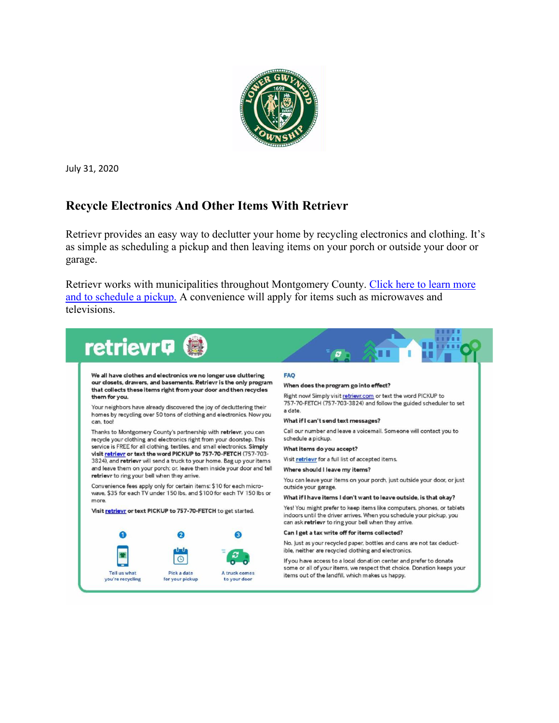

July 31, 2020

#### **Recycle Electronics And Other Items With Retrievr**

Retrievr provides an easy way to declutter your home by recycling electronics and clothing. It's as simple as scheduling a pickup and then leaving items on your porch or outside your door or garage.

Retrievr works with municipalities throughout Montgomery County. Click here to learn more [and to schedule a pickup.](https://retrievr.com/location/montgomery-county-pa/) A convenience will apply for items such as microwaves and televisions.

| We all have clothes and electronics we no longer use cluttering<br>our closets, drawers, and basements. Retrievr is the only program<br>that collects these items right from your door and then recycles<br>them for you.<br>Your neighbors have already discovered the joy of decluttering their<br>homes by recycling over 50 tons of clothing and electronics. Now you<br>can, too!<br>Thanks to Montgomery County's partnership with retrievr, you can<br>recycle your clothing and electronics right from your doorstep. This<br>service is FREE for all clothing, textiles, and small electronics. Simply<br>visit retrievr or text the word PICKUP to 757-70-FETCH (757-703-<br>3824), and retrievr will send a truck to your home. Bag up your items<br>and leave them on your porch; or, leave them inside your door and tell<br>retrievr to ring your bell when they arrive.<br>Convenience fees apply only for certain items: \$10 for each micro-<br>wave, \$35 for each TV under 150 lbs, and \$100 for each TV 150 lbs or<br>more. |             |                               | <b>FAO</b><br>When does the program go into effect?<br>Right now! Simply visit retrievr.com or text the word PICKUP to<br>757-70-FETCH (757-703-3824) and follow the guided scheduler to set<br>a date.<br>What if I can't send text messages?<br>Call our number and leave a voicemail. Someone will contact you to<br>schedule a pickup.<br>What items do you accept?<br>Visit retrievr for a full list of accepted items.<br>Where should I leave my items?<br>You can leave your items on your porch, just outside your door, or just<br>outside your garage. |
|--------------------------------------------------------------------------------------------------------------------------------------------------------------------------------------------------------------------------------------------------------------------------------------------------------------------------------------------------------------------------------------------------------------------------------------------------------------------------------------------------------------------------------------------------------------------------------------------------------------------------------------------------------------------------------------------------------------------------------------------------------------------------------------------------------------------------------------------------------------------------------------------------------------------------------------------------------------------------------------------------------------------------------------------------|-------------|-------------------------------|-------------------------------------------------------------------------------------------------------------------------------------------------------------------------------------------------------------------------------------------------------------------------------------------------------------------------------------------------------------------------------------------------------------------------------------------------------------------------------------------------------------------------------------------------------------------|
|                                                                                                                                                                                                                                                                                                                                                                                                                                                                                                                                                                                                                                                                                                                                                                                                                                                                                                                                                                                                                                                  |             |                               | What if I have items I don't want to leave outside, is that okay?                                                                                                                                                                                                                                                                                                                                                                                                                                                                                                 |
| Visit retrievr or text PICKUP to 757-70-FETCH to get started.                                                                                                                                                                                                                                                                                                                                                                                                                                                                                                                                                                                                                                                                                                                                                                                                                                                                                                                                                                                    |             |                               | Yes! You might prefer to keep items like computers, phones, or tablets<br>indoors until the driver arrives. When you schedule your pickup, you<br>can ask retrievr to ring your bell when they arrive.                                                                                                                                                                                                                                                                                                                                                            |
|                                                                                                                                                                                                                                                                                                                                                                                                                                                                                                                                                                                                                                                                                                                                                                                                                                                                                                                                                                                                                                                  | 2           |                               | Can I get a tax write off for items collected?                                                                                                                                                                                                                                                                                                                                                                                                                                                                                                                    |
|                                                                                                                                                                                                                                                                                                                                                                                                                                                                                                                                                                                                                                                                                                                                                                                                                                                                                                                                                                                                                                                  |             | A truck comes<br>to your door | No. Just as your recycled paper, bottles and cans are not tax deduct-<br>ible, neither are recycled clothing and electronics.                                                                                                                                                                                                                                                                                                                                                                                                                                     |
| Tell us what                                                                                                                                                                                                                                                                                                                                                                                                                                                                                                                                                                                                                                                                                                                                                                                                                                                                                                                                                                                                                                     | Pick a date |                               | If you have access to a local donation center and prefer to donate<br>some or all of your items, we respect that choice. Donation keeps your<br>items out of the landfill, which makes us happy.                                                                                                                                                                                                                                                                                                                                                                  |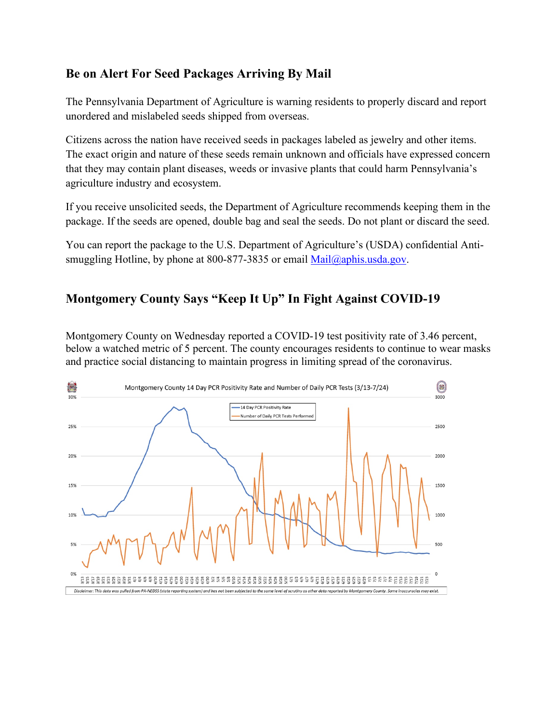#### **Be on Alert For Seed Packages Arriving By Mail**

The Pennsylvania Department of Agriculture is warning residents to properly discard and report unordered and mislabeled seeds shipped from overseas.

Citizens across the nation have received seeds in packages labeled as jewelry and other items. The exact origin and nature of these seeds remain unknown and officials have expressed concern that they may contain plant diseases, weeds or invasive plants that could harm Pennsylvania's agriculture industry and ecosystem.

If you receive unsolicited seeds, the Department of Agriculture recommends keeping them in the package. If the seeds are opened, double bag and seal the seeds. Do not plant or discard the seed.

You can report the package to the U.S. Department of Agriculture's (USDA) confidential Antismuggling Hotline, by phone at  $800-877-3835$  or email [Mail@aphis.usda.gov.](mailto:Mail@aphis.usda.gov)

# **Montgomery County Says "Keep It Up" In Fight Against COVID-19**

Montgomery County on Wednesday reported a COVID-19 test positivity rate of 3.46 percent, below a watched metric of 5 percent. The county encourages residents to continue to wear masks and practice social distancing to maintain progress in limiting spread of the coronavirus.

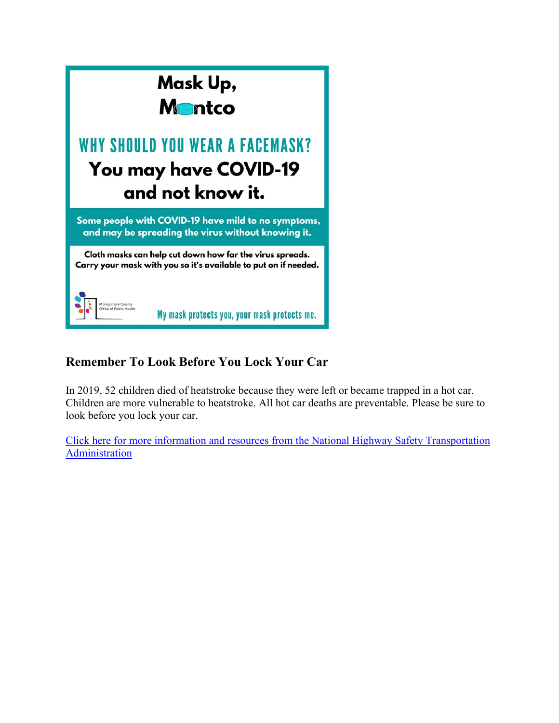

### **Remember To Look Before You Lock Your Car**

In 2019, 52 children died of heatstroke because they were left or became trapped in a hot car. Children are more vulnerable to heatstroke. All hot car deaths are preventable. Please be sure to look before you lock your car.

[Click here for more information and resources from the National Highway Safety Transportation](https://www.nhtsa.gov/campaign/heatstroke?fbclid=IwAR1bk4Ac1ymAiKGJUu77iAcqI3bn7t2dtzAThMTJ8qov0RDUH0Cr9gaYdaU)  [Administration](https://www.nhtsa.gov/campaign/heatstroke?fbclid=IwAR1bk4Ac1ymAiKGJUu77iAcqI3bn7t2dtzAThMTJ8qov0RDUH0Cr9gaYdaU)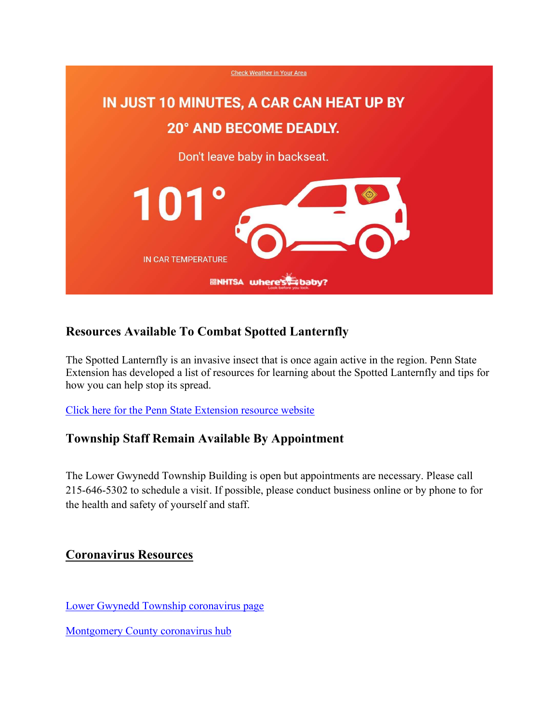

# **Resources Available To Combat Spotted Lanternfly**

The Spotted Lanternfly is an invasive insect that is once again active in the region. Penn State Extension has developed a list of resources for learning about the Spotted Lanternfly and tips for how you can help stop its spread.

[Click here for the Penn State Extension resource website](https://extension.psu.edu/spotted-lanternfly)

#### **Township Staff Remain Available By Appointment**

The Lower Gwynedd Township Building is open but appointments are necessary. Please call 215-646-5302 to schedule a visit. If possible, please conduct business online or by phone to for the health and safety of yourself and staff.

#### **Coronavirus Resources**

[Lower Gwynedd Township coronavirus page](https://www.lowergwynedd.org/general-information/covid-19-coronavirus.aspx)

[Montgomery County coronavirus hub](https://data-montcopa.opendata.arcgis.com/pages/covid-19)